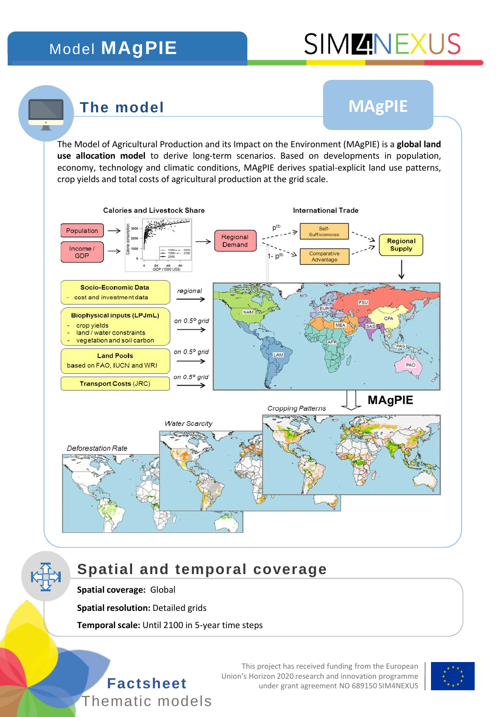## Model **MAgPIE**

# **SIMMINEXUS**

### **The model**

## **MAgPIE**

The Model of Agricultural Production and its Impact on the Environment (MAgPIE) is a **global land use allocation model** to derive long-term scenarios. Based on developments in population, economy, technology and climatic conditions, MAgPIE derives spatial-explicit land use patterns, crop yields and total costs of agricultural production at the grid scale.



## **Spatial and temporal coverage**

#### **Spatial coverage:** Global

**Spatial resolution: Detailed grids** 

**Temporal scale:** Until 2100 in 5-year time steps



This project has received funding from the European Union's Horizon 2020 research and innovation programme **Factsheet** under grant agreement NO 689150 SIM4NEXUS